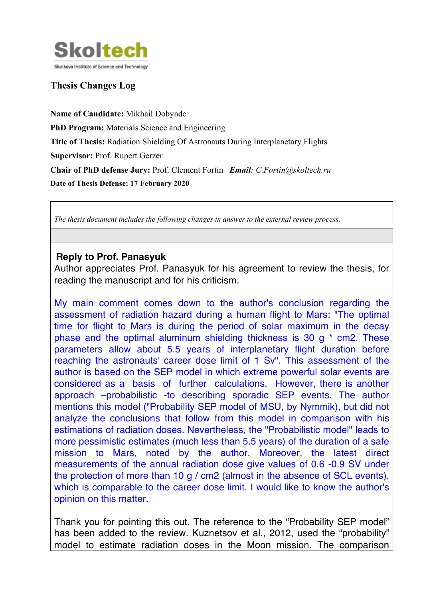

# **Thesis Changes Log**

**Name of Candidate:** Mikhail Dobynde **PhD Program:** Materials Science and Engineering **Title of Thesis:** Radiation Shielding Of Astronauts During Interplanetary Flights **Supervisor:** Prof. Rupert Gerzer **Chair of PhD defense Jury:** Prof. Clement Fortin *Email: C.Fortin@skoltech.ru* **Date of Thesis Defense: 17 February 2020**

*The thesis document includes the following changes in answer to the external review process.*

#### **Reply to Prof. Panasyuk**

Author appreciates Prof. Panasyuk for his agreement to review the thesis, for reading the manuscript and for his criticism.

My main comment comes down to the author's conclusion regarding the assessment of radiation hazard during a human flight to Mars: "The optimal time for flight to Mars is during the period of solar maximum in the decay phase and the optimal aluminum shielding thickness is 30 g \* cm2. These parameters allow about 5.5 years of interplanetary flight duration before reaching the astronauts' career dose limit of 1 Sv". This assessment of the author is based on the SEP model in which extreme powerful solar events are considered as a basis of further calculations. However, there is another approach –probabilistic -to describing sporadic SEP events. The author mentions this model ("Probability SEP model of MSU, by Nymmik), but did not analyze the conclusions that follow from this model in comparison with his estimations of radiation doses. Nevertheless, the "Probabilistic model" leads to more pessimistic estimates (much less than 5.5 years) of the duration of a safe mission to Mars, noted by the author. Moreover, the latest direct measurements of the annual radiation dose give values of 0.6 -0.9 SV under the protection of more than 10 g / cm2 (almost in the absence of SCL events), which is comparable to the career dose limit. I would like to know the author's opinion on this matter.

Thank you for pointing this out. The reference to the "Probability SEP model" has been added to the review. Kuznetsov et al., 2012, used the "probability" model to estimate radiation doses in the Moon mission. The comparison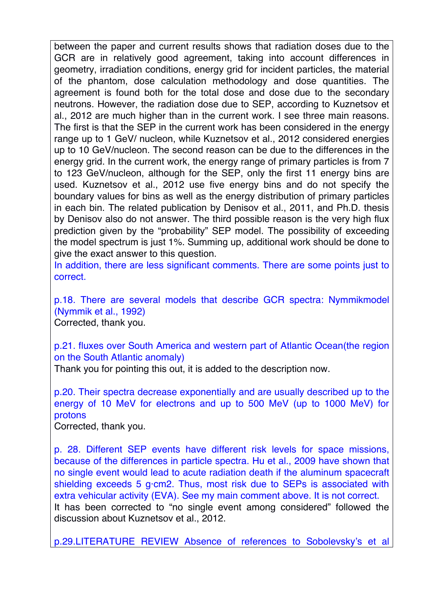between the paper and current results shows that radiation doses due to the GCR are in relatively good agreement, taking into account differences in geometry, irradiation conditions, energy grid for incident particles, the material of the phantom, dose calculation methodology and dose quantities. The agreement is found both for the total dose and dose due to the secondary neutrons. However, the radiation dose due to SEP, according to Kuznetsov et al., 2012 are much higher than in the current work. I see three main reasons. The first is that the SEP in the current work has been considered in the energy range up to 1 GeV/ nucleon, while Kuznetsov et al., 2012 considered energies up to 10 GeV/nucleon. The second reason can be due to the differences in the energy grid. In the current work, the energy range of primary particles is from 7 to 123 GeV/nucleon, although for the SEP, only the first 11 energy bins are used. Kuznetsov et al., 2012 use five energy bins and do not specify the boundary values for bins as well as the energy distribution of primary particles in each bin. The related publication by Denisov et al., 2011, and Ph.D. thesis by Denisov also do not answer. The third possible reason is the very high flux prediction given by the "probability" SEP model. The possibility of exceeding the model spectrum is just 1%. Summing up, additional work should be done to give the exact answer to this question.

In addition, there are less significant comments. There are some points just to correct.

p.18. There are several models that describe GCR spectra: Nymmikmodel (Nymmik et al., 1992) Corrected, thank you.

p.21. fluxes over South America and western part of Atlantic Ocean(the region on the South Atlantic anomaly)

Thank you for pointing this out, it is added to the description now.

p.20. Their spectra decrease exponentially and are usually described up to the energy of 10 MeV for electrons and up to 500 MeV (up to 1000 MeV) for protons

Corrected, thank you.

p. 28. Different SEP events have different risk levels for space missions, because of the differences in particle spectra. Hu et al., 2009 have shown that no single event would lead to acute radiation death if the aluminum spacecraft shielding exceeds 5 g·cm2. Thus, most risk due to SEPs is associated with extra vehicular activity (EVA). See my main comment above. It is not correct. It has been corrected to "no single event among considered" followed the discussion about Kuznetsov et al., 2012.

p.29.LITERATURE REVIEW Absence of references to Sobolevsky's et al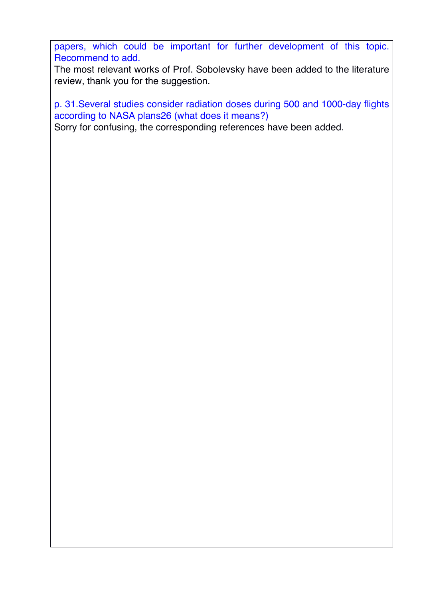papers, which could be important for further development of this topic. Recommend to add.

The most relevant works of Prof. Sobolevsky have been added to the literature review, thank you for the suggestion.

p. 31.Several studies consider radiation doses during 500 and 1000-day flights according to NASA plans26 (what does it means?)

Sorry for confusing, the corresponding references have been added.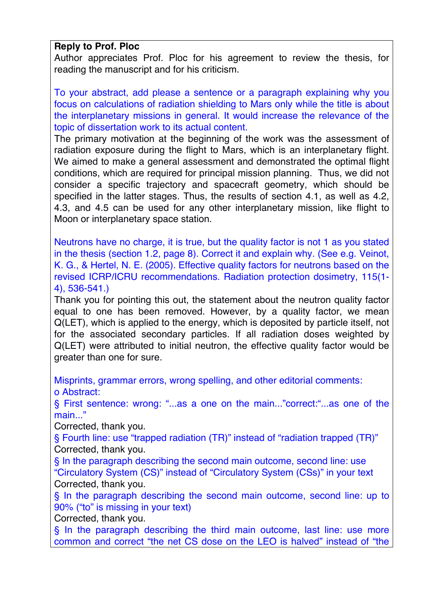### **Reply to Prof. Ploc**

Author appreciates Prof. Ploc for his agreement to review the thesis, for reading the manuscript and for his criticism.

To your abstract, add please a sentence or a paragraph explaining why you focus on calculations of radiation shielding to Mars only while the title is about the interplanetary missions in general. It would increase the relevance of the topic of dissertation work to its actual content.

The primary motivation at the beginning of the work was the assessment of radiation exposure during the flight to Mars, which is an interplanetary flight. We aimed to make a general assessment and demonstrated the optimal flight conditions, which are required for principal mission planning. Thus, we did not consider a specific trajectory and spacecraft geometry, which should be specified in the latter stages. Thus, the results of section 4.1, as well as 4.2, 4.3, and 4.5 can be used for any other interplanetary mission, like flight to Moon or interplanetary space station.

Neutrons have no charge, it is true, but the quality factor is not 1 as you stated in the thesis (section 1.2, page 8). Correct it and explain why. (See e.g. Veinot, K. G., & Hertel, N. E. (2005). Effective quality factors for neutrons based on the revised ICRP/ICRU recommendations. Radiation protection dosimetry, 115(1- 4), 536-541.)

Thank you for pointing this out, the statement about the neutron quality factor equal to one has been removed. However, by a quality factor, we mean Q(LET), which is applied to the energy, which is deposited by particle itself, not for the associated secondary particles. If all radiation doses weighted by Q(LET) were attributed to initial neutron, the effective quality factor would be greater than one for sure.

Misprints, grammar errors, wrong spelling, and other editorial comments: o Abstract:

§ First sentence: wrong: "...as a one on the main..."correct:"...as one of the main..."

Corrected, thank you.

§ Fourth line: use "trapped radiation (TR)" instead of "radiation trapped (TR)" Corrected, thank you.

§ In the paragraph describing the second main outcome, second line: use "Circulatory System (CS)" instead of "Circulatory System (CSs)" in your text Corrected, thank you.

§ In the paragraph describing the second main outcome, second line: up to 90% ("to" is missing in your text)

Corrected, thank you.

§ In the paragraph describing the third main outcome, last line: use more common and correct "the net CS dose on the LEO is halved" instead of "the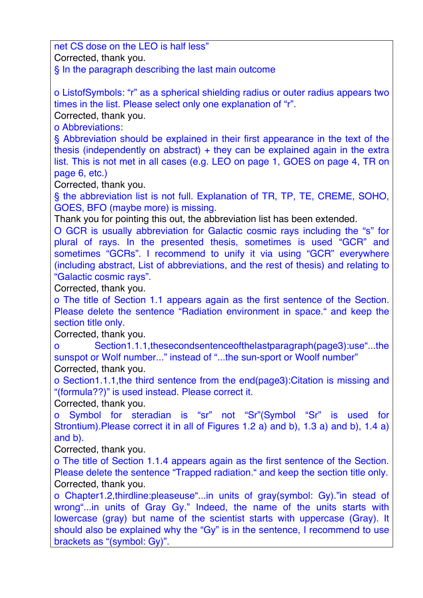net CS dose on the LEO is half less"

Corrected, thank you.

§ In the paragraph describing the last main outcome

o ListofSymbols: "r" as a spherical shielding radius or outer radius appears two times in the list. Please select only one explanation of "r".

Corrected, thank you.

o Abbreviations:

§ Abbreviation should be explained in their first appearance in the text of the thesis (independently on abstract)  $+$  they can be explained again in the extra list. This is not met in all cases (e.g. LEO on page 1, GOES on page 4, TR on page 6, etc.)

Corrected, thank you.

§ the abbreviation list is not full. Explanation of TR, TP, TE, CREME, SOHO, GOES, BFO (maybe more) is missing.

Thank you for pointing this out, the abbreviation list has been extended.

O GCR is usually abbreviation for Galactic cosmic rays including the "s" for plural of rays. In the presented thesis, sometimes is used "GCR" and sometimes "GCRs". I recommend to unify it via using "GCR" everywhere (including abstract, List of abbreviations, and the rest of thesis) and relating to "Galactic cosmic rays".

Corrected, thank you.

o The title of Section 1.1 appears again as the first sentence of the Section. Please delete the sentence "Radiation environment in space." and keep the section title only.

Corrected, thank you.

o Section1.1.1,thesecondsentenceofthelastparagraph(page3):use"...the sunspot or Wolf number..." instead of "...the sun-sport or Woolf number" Corrected, thank you.

o Section1.1.1,the third sentence from the end(page3):Citation is missing and "(formula??)" is used instead. Please correct it.

Corrected, thank you.

o Symbol for steradian is "sr" not "Sr"(Symbol "Sr" is used for Strontium).Please correct it in all of Figures 1.2 a) and b), 1.3 a) and b), 1.4 a) and b).

Corrected, thank you.

o The title of Section 1.1.4 appears again as the first sentence of the Section. Please delete the sentence "Trapped radiation." and keep the section title only. Corrected, thank you.

o Chapter1.2,thirdline:pleaseuse"...in units of gray(symbol: Gy)."in stead of wrong"...in units of Gray Gy." Indeed, the name of the units starts with lowercase (gray) but name of the scientist starts with uppercase (Gray). It should also be explained why the "Gy" is in the sentence, I recommend to use brackets as "(symbol: Gy)".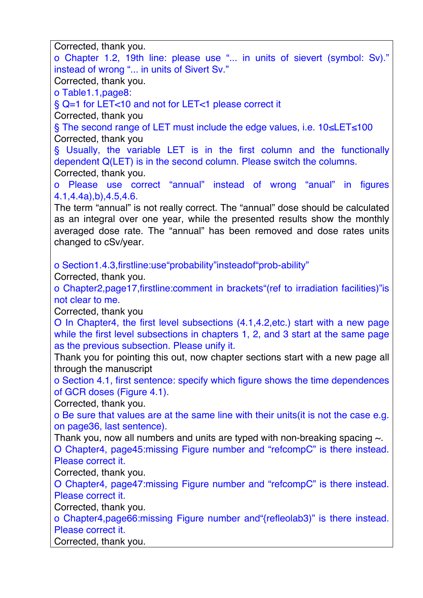Corrected, thank you.

o Chapter 1.2, 19th line: please use "... in units of sievert (symbol: Sv)." instead of wrong "... in units of Sivert Sv."

Corrected, thank you.

o Table1.1,page8:

§ Q=1 for LET<10 and not for LET<1 please correct it

Corrected, thank you

§ The second range of LET must include the edge values, i.e. 10≤LET≤100 Corrected, thank you

§ Usually, the variable LET is in the first column and the functionally dependent Q(LET) is in the second column. Please switch the columns. Corrected, thank you.

o Please use correct "annual" instead of wrong "anual" in figures 4.1,4.4a),b),4.5,4.6.

The term "annual" is not really correct. The "annual" dose should be calculated as an integral over one year, while the presented results show the monthly averaged dose rate. The "annual" has been removed and dose rates units changed to cSv/year.

o Section1.4.3,firstline:use"probability"insteadof"prob-ability"

Corrected, thank you.

o Chapter2,page17,firstline:comment in brackets"(ref to irradiation facilities)"is not clear to me.

Corrected, thank you

O In Chapter4, the first level subsections (4.1,4.2,etc.) start with a new page while the first level subsections in chapters 1, 2, and 3 start at the same page as the previous subsection. Please unify it.

Thank you for pointing this out, now chapter sections start with a new page all through the manuscript

o Section 4.1, first sentence: specify which figure shows the time dependences of GCR doses (Figure 4.1).

Corrected, thank you.

o Be sure that values are at the same line with their units(it is not the case e.g. on page36, last sentence).

Thank you, now all numbers and units are typed with non-breaking spacing  $\sim$ . O Chapter4, page45:missing Figure number and "refcompC" is there instead. Please correct it.

Corrected, thank you.

O Chapter4, page47:missing Figure number and "refcompC" is there instead. Please correct it.

Corrected, thank you.

o Chapter4,page66:missing Figure number and"{refleolab3)" is there instead. Please correct it.

Corrected, thank you.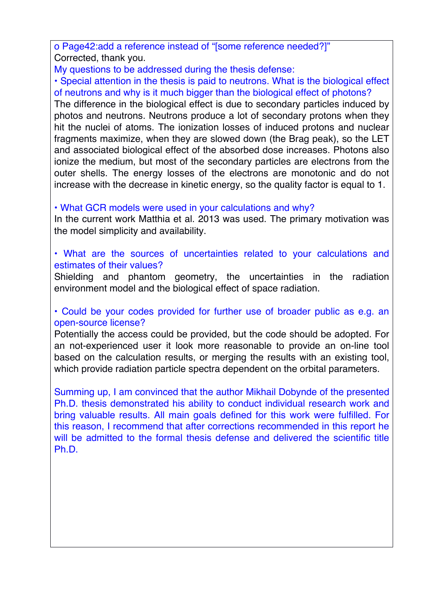o Page42:add a reference instead of "[some reference needed?]" Corrected, thank you.

My questions to be addressed during the thesis defense:

• Special attention in the thesis is paid to neutrons. What is the biological effect of neutrons and why is it much bigger than the biological effect of photons? The difference in the biological effect is due to secondary particles induced by photos and neutrons. Neutrons produce a lot of secondary protons when they hit the nuclei of atoms. The ionization losses of induced protons and nuclear fragments maximize, when they are slowed down (the Brag peak), so the LET and associated biological effect of the absorbed dose increases. Photons also ionize the medium, but most of the secondary particles are electrons from the outer shells. The energy losses of the electrons are monotonic and do not increase with the decrease in kinetic energy, so the quality factor is equal to 1.

• What GCR models were used in your calculations and why?

In the current work Matthia et al. 2013 was used. The primary motivation was the model simplicity and availability.

• What are the sources of uncertainties related to your calculations and estimates of their values?

Shielding and phantom geometry, the uncertainties in the radiation environment model and the biological effect of space radiation.

• Could be your codes provided for further use of broader public as e.g. an open-source license?

Potentially the access could be provided, but the code should be adopted. For an not-experienced user it look more reasonable to provide an on-line tool based on the calculation results, or merging the results with an existing tool, which provide radiation particle spectra dependent on the orbital parameters.

Summing up, I am convinced that the author Mikhail Dobynde of the presented Ph.D. thesis demonstrated his ability to conduct individual research work and bring valuable results. All main goals defined for this work were fulfilled. For this reason, I recommend that after corrections recommended in this report he will be admitted to the formal thesis defense and delivered the scientific title Ph.D.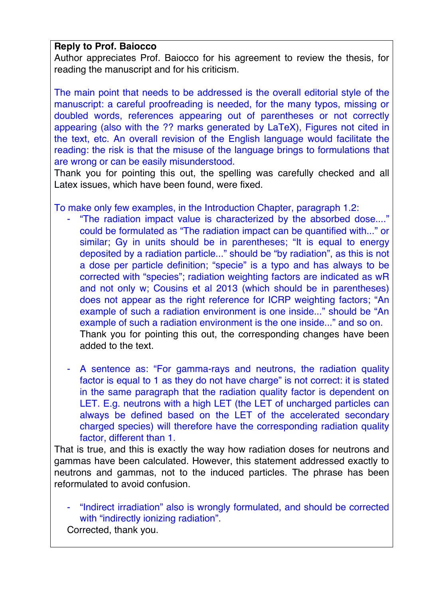# **Reply to Prof. Baiocco**

Author appreciates Prof. Baiocco for his agreement to review the thesis, for reading the manuscript and for his criticism.

The main point that needs to be addressed is the overall editorial style of the manuscript: a careful proofreading is needed, for the many typos, missing or doubled words, references appearing out of parentheses or not correctly appearing (also with the ?? marks generated by LaTeX), Figures not cited in the text, etc. An overall revision of the English language would facilitate the reading: the risk is that the misuse of the language brings to formulations that are wrong or can be easily misunderstood.

Thank you for pointing this out, the spelling was carefully checked and all Latex issues, which have been found, were fixed.

To make only few examples, in the Introduction Chapter, paragraph 1.2:

- "The radiation impact value is characterized by the absorbed dose...." could be formulated as "The radiation impact can be quantified with..." or similar; Gy in units should be in parentheses; "It is equal to energy deposited by a radiation particle..." should be "by radiation", as this is not a dose per particle definition; "specie" is a typo and has always to be corrected with "species"; radiation weighting factors are indicated as wR and not only w; Cousins et al 2013 (which should be in parentheses) does not appear as the right reference for ICRP weighting factors; "An example of such a radiation environment is one inside..." should be "An example of such a radiation environment is the one inside..." and so on. Thank you for pointing this out, the corresponding changes have been added to the text.
- A sentence as: "For gamma-rays and neutrons, the radiation quality factor is equal to 1 as they do not have charge" is not correct: it is stated in the same paragraph that the radiation quality factor is dependent on LET. E.g. neutrons with a high LET (the LET of uncharged particles can always be defined based on the LET of the accelerated secondary charged species) will therefore have the corresponding radiation quality factor, different than 1.

That is true, and this is exactly the way how radiation doses for neutrons and gammas have been calculated. However, this statement addressed exactly to neutrons and gammas, not to the induced particles. The phrase has been reformulated to avoid confusion.

"Indirect irradiation" also is wrongly formulated, and should be corrected with "indirectly ionizing radiation".

Corrected, thank you.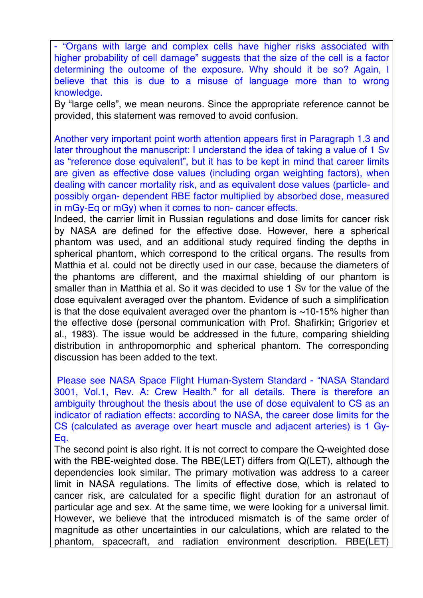- "Organs with large and complex cells have higher risks associated with higher probability of cell damage" suggests that the size of the cell is a factor determining the outcome of the exposure. Why should it be so? Again, I believe that this is due to a misuse of language more than to wrong knowledge.

By "large cells", we mean neurons. Since the appropriate reference cannot be provided, this statement was removed to avoid confusion.

Another very important point worth attention appears first in Paragraph 1.3 and later throughout the manuscript: I understand the idea of taking a value of 1 Sv as "reference dose equivalent", but it has to be kept in mind that career limits are given as effective dose values (including organ weighting factors), when dealing with cancer mortality risk, and as equivalent dose values (particle- and possibly organ- dependent RBE factor multiplied by absorbed dose, measured in mGy-Eq or mGy) when it comes to non- cancer effects.

Indeed, the carrier limit in Russian regulations and dose limits for cancer risk by NASA are defined for the effective dose. However, here a spherical phantom was used, and an additional study required finding the depths in spherical phantom, which correspond to the critical organs. The results from Matthia et al. could not be directly used in our case, because the diameters of the phantoms are different, and the maximal shielding of our phantom is smaller than in Matthia et al. So it was decided to use 1 Sv for the value of the dose equivalent averaged over the phantom. Evidence of such a simplification is that the dose equivalent averaged over the phantom is  $\sim$ 10-15% higher than the effective dose (personal communication with Prof. Shafirkin; Grigoriev et al., 1983). The issue would be addressed in the future, comparing shielding distribution in anthropomorphic and spherical phantom. The corresponding discussion has been added to the text.

Please see NASA Space Flight Human-System Standard - "NASA Standard 3001, Vol.1, Rev. A: Crew Health." for all details. There is therefore an ambiguity throughout the thesis about the use of dose equivalent to CS as an indicator of radiation effects: according to NASA, the career dose limits for the CS (calculated as average over heart muscle and adjacent arteries) is 1 Gy-Eq.

The second point is also right. It is not correct to compare the Q-weighted dose with the RBE-weighted dose. The RBE(LET) differs from Q(LET), although the dependencies look similar. The primary motivation was address to a career limit in NASA regulations. The limits of effective dose, which is related to cancer risk, are calculated for a specific flight duration for an astronaut of particular age and sex. At the same time, we were looking for a universal limit. However, we believe that the introduced mismatch is of the same order of magnitude as other uncertainties in our calculations, which are related to the phantom, spacecraft, and radiation environment description. RBE(LET)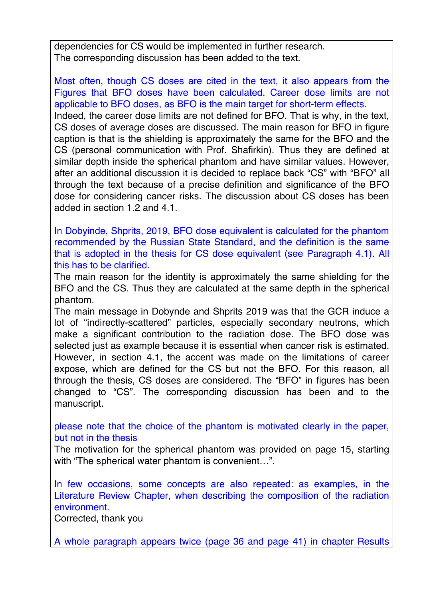dependencies for CS would be implemented in further research. The corresponding discussion has been added to the text.

Most often, though CS doses are cited in the text, it also appears from the Figures that BFO doses have been calculated. Career dose limits are not applicable to BFO doses, as BFO is the main target for short-term effects. Indeed, the career dose limits are not defined for BFO. That is why, in the text, CS doses of average doses are discussed. The main reason for BFO in figure caption is that is the shielding is approximately the same for the BFO and the CS (personal communication with Prof. Shafirkin). Thus they are defined at similar depth inside the spherical phantom and have similar values. However, after an additional discussion it is decided to replace back "CS" with "BFO" all through the text because of a precise definition and significance of the BFO dose for considering cancer risks. The discussion about CS doses has been added in section 1.2 and 4.1.

In Dobyinde, Shprits, 2019, BFO dose equivalent is calculated for the phantom recommended by the Russian State Standard, and the definition is the same that is adopted in the thesis for CS dose equivalent (see Paragraph 4.1). All this has to be clarified.

The main reason for the identity is approximately the same shielding for the BFO and the CS. Thus they are calculated at the same depth in the spherical phantom.

The main message in Dobynde and Shprits 2019 was that the GCR induce a lot of "indirectly-scattered" particles, especially secondary neutrons, which make a significant contribution to the radiation dose. The BFO dose was selected just as example because it is essential when cancer risk is estimated. However, in section 4.1, the accent was made on the limitations of career expose, which are defined for the CS but not the BFO. For this reason, all through the thesis, CS doses are considered. The "BFO" in figures has been changed to "CS". The corresponding discussion has been and to the manuscript.

please note that the choice of the phantom is motivated clearly in the paper, but not in the thesis

The motivation for the spherical phantom was provided on page 15, starting with "The spherical water phantom is convenient...".

In few occasions, some concepts are also repeated: as examples, in the Literature Review Chapter, when describing the composition of the radiation environment.

Corrected, thank you

A whole paragraph appears twice (page 36 and page 41) in chapter Results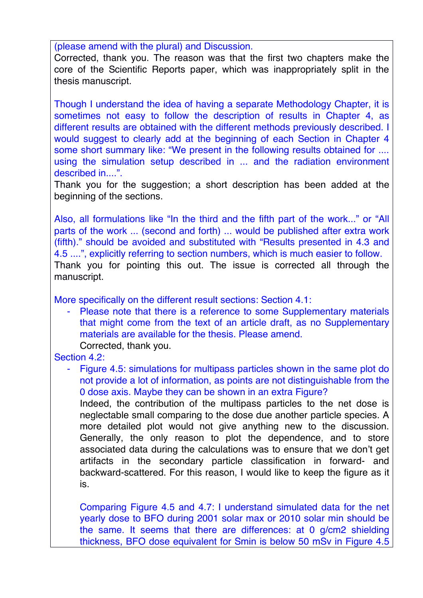(please amend with the plural) and Discussion.

Corrected, thank you. The reason was that the first two chapters make the core of the Scientific Reports paper, which was inappropriately split in the thesis manuscript.

Though I understand the idea of having a separate Methodology Chapter, it is sometimes not easy to follow the description of results in Chapter 4, as different results are obtained with the different methods previously described. I would suggest to clearly add at the beginning of each Section in Chapter 4 some short summary like: "We present in the following results obtained for .... using the simulation setup described in ... and the radiation environment described in....".

Thank you for the suggestion; a short description has been added at the beginning of the sections.

Also, all formulations like "In the third and the fifth part of the work..." or "All parts of the work ... (second and forth) ... would be published after extra work (fifth)." should be avoided and substituted with "Results presented in 4.3 and 4.5 ....", explicitly referring to section numbers, which is much easier to follow. Thank you for pointing this out. The issue is corrected all through the manuscript.

More specifically on the different result sections: Section 4.1:

Please note that there is a reference to some Supplementary materials that might come from the text of an article draft, as no Supplementary materials are available for the thesis. Please amend.

Corrected, thank you.

Section 4.2:

Figure 4.5: simulations for multipass particles shown in the same plot do not provide a lot of information, as points are not distinguishable from the 0 dose axis. Maybe they can be shown in an extra Figure?

Indeed, the contribution of the multipass particles to the net dose is neglectable small comparing to the dose due another particle species. A more detailed plot would not give anything new to the discussion. Generally, the only reason to plot the dependence, and to store associated data during the calculations was to ensure that we don't get artifacts in the secondary particle classification in forward- and backward-scattered. For this reason, I would like to keep the figure as it is.

Comparing Figure 4.5 and 4.7: I understand simulated data for the net yearly dose to BFO during 2001 solar max or 2010 solar min should be the same. It seems that there are differences: at 0 g/cm2 shielding thickness, BFO dose equivalent for Smin is below 50 mSv in Figure 4.5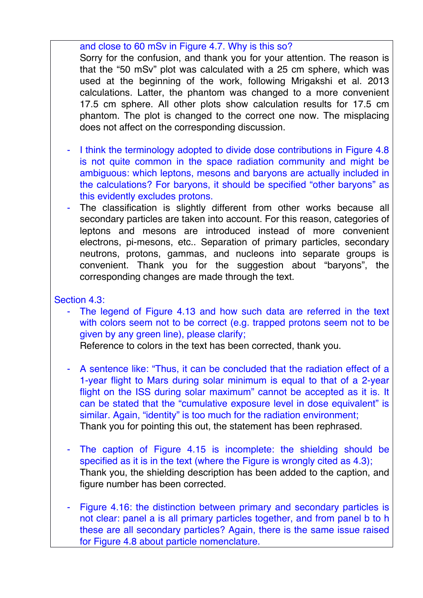### and close to 60 mSv in Figure 4.7. Why is this so?

Sorry for the confusion, and thank you for your attention. The reason is that the "50 mSv" plot was calculated with a 25 cm sphere, which was used at the beginning of the work, following Mrigakshi et al. 2013 calculations. Latter, the phantom was changed to a more convenient 17.5 cm sphere. All other plots show calculation results for 17.5 cm phantom. The plot is changed to the correct one now. The misplacing does not affect on the corresponding discussion.

- I think the terminology adopted to divide dose contributions in Figure 4.8 is not quite common in the space radiation community and might be ambiguous: which leptons, mesons and baryons are actually included in the calculations? For baryons, it should be specified "other baryons" as this evidently excludes protons.
- The classification is slightly different from other works because all secondary particles are taken into account. For this reason, categories of leptons and mesons are introduced instead of more convenient electrons, pi-mesons, etc.. Separation of primary particles, secondary neutrons, protons, gammas, and nucleons into separate groups is convenient. Thank you for the suggestion about "baryons", the corresponding changes are made through the text.

#### Section 4.3:

The legend of Figure 4.13 and how such data are referred in the text with colors seem not to be correct (e.g. trapped protons seem not to be given by any green line), please clarify;

Reference to colors in the text has been corrected, thank you.

- A sentence like: "Thus, it can be concluded that the radiation effect of a 1-year flight to Mars during solar minimum is equal to that of a 2-year flight on the ISS during solar maximum" cannot be accepted as it is. It can be stated that the "cumulative exposure level in dose equivalent" is similar. Again, "identity" is too much for the radiation environment; Thank you for pointing this out, the statement has been rephrased.
- The caption of Figure 4.15 is incomplete: the shielding should be specified as it is in the text (where the Figure is wrongly cited as 4.3); Thank you, the shielding description has been added to the caption, and figure number has been corrected.
- Figure 4.16: the distinction between primary and secondary particles is not clear: panel a is all primary particles together, and from panel b to h these are all secondary particles? Again, there is the same issue raised for Figure 4.8 about particle nomenclature.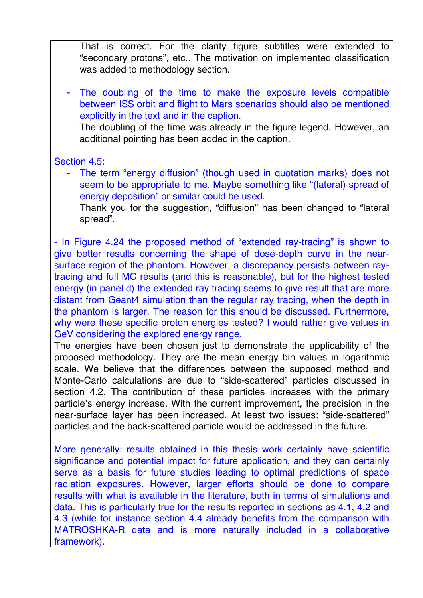That is correct. For the clarity figure subtitles were extended to "secondary protons", etc.. The motivation on implemented classification was added to methodology section.

The doubling of the time to make the exposure levels compatible between ISS orbit and flight to Mars scenarios should also be mentioned explicitly in the text and in the caption.

The doubling of the time was already in the figure legend. However, an additional pointing has been added in the caption.

### Section 4.5:

- The term "energy diffusion" (though used in quotation marks) does not seem to be appropriate to me. Maybe something like "(lateral) spread of energy deposition" or similar could be used.

Thank you for the suggestion, "diffusion" has been changed to "lateral spread".

- In Figure 4.24 the proposed method of "extended ray-tracing" is shown to give better results concerning the shape of dose-depth curve in the nearsurface region of the phantom. However, a discrepancy persists between raytracing and full MC results (and this is reasonable), but for the highest tested energy (in panel d) the extended ray tracing seems to give result that are more distant from Geant4 simulation than the regular ray tracing, when the depth in the phantom is larger. The reason for this should be discussed. Furthermore, why were these specific proton energies tested? I would rather give values in GeV considering the explored energy range.

The energies have been chosen just to demonstrate the applicability of the proposed methodology. They are the mean energy bin values in logarithmic scale. We believe that the differences between the supposed method and Monte-Carlo calculations are due to "side-scattered" particles discussed in section 4.2. The contribution of these particles increases with the primary particle's energy increase. With the current improvement, the precision in the near-surface layer has been increased. At least two issues: "side-scattered" particles and the back-scattered particle would be addressed in the future.

More generally: results obtained in this thesis work certainly have scientific significance and potential impact for future application, and they can certainly serve as a basis for future studies leading to optimal predictions of space radiation exposures. However, larger efforts should be done to compare results with what is available in the literature, both in terms of simulations and data. This is particularly true for the results reported in sections as 4.1, 4.2 and 4.3 (while for instance section 4.4 already benefits from the comparison with MATROSHKA-R data and is more naturally included in a collaborative framework).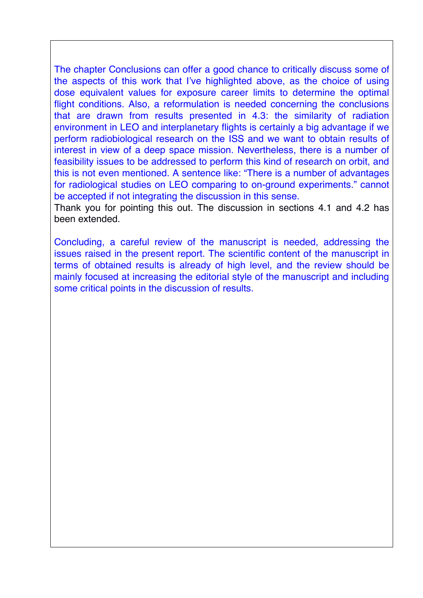The chapter Conclusions can offer a good chance to critically discuss some of the aspects of this work that I've highlighted above, as the choice of using dose equivalent values for exposure career limits to determine the optimal flight conditions. Also, a reformulation is needed concerning the conclusions that are drawn from results presented in 4.3: the similarity of radiation environment in LEO and interplanetary flights is certainly a big advantage if we perform radiobiological research on the ISS and we want to obtain results of interest in view of a deep space mission. Nevertheless, there is a number of feasibility issues to be addressed to perform this kind of research on orbit, and this is not even mentioned. A sentence like: "There is a number of advantages for radiological studies on LEO comparing to on-ground experiments." cannot be accepted if not integrating the discussion in this sense.

Thank you for pointing this out. The discussion in sections 4.1 and 4.2 has been extended.

Concluding, a careful review of the manuscript is needed, addressing the issues raised in the present report. The scientific content of the manuscript in terms of obtained results is already of high level, and the review should be mainly focused at increasing the editorial style of the manuscript and including some critical points in the discussion of results.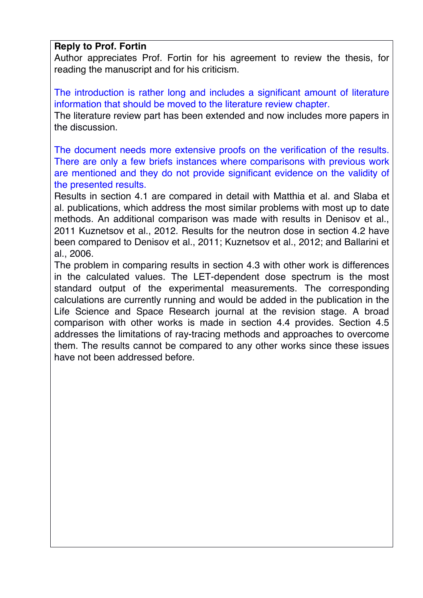# **Reply to Prof. Fortin**

Author appreciates Prof. Fortin for his agreement to review the thesis, for reading the manuscript and for his criticism.

The introduction is rather long and includes a significant amount of literature information that should be moved to the literature review chapter.

The literature review part has been extended and now includes more papers in the discussion.

The document needs more extensive proofs on the verification of the results. There are only a few briefs instances where comparisons with previous work are mentioned and they do not provide significant evidence on the validity of the presented results.

Results in section 4.1 are compared in detail with Matthia et al. and Slaba et al. publications, which address the most similar problems with most up to date methods. An additional comparison was made with results in Denisov et al., 2011 Kuznetsov et al., 2012. Results for the neutron dose in section 4.2 have been compared to Denisov et al., 2011; Kuznetsov et al., 2012; and Ballarini et al., 2006.

The problem in comparing results in section 4.3 with other work is differences in the calculated values. The LET-dependent dose spectrum is the most standard output of the experimental measurements. The corresponding calculations are currently running and would be added in the publication in the Life Science and Space Research journal at the revision stage. A broad comparison with other works is made in section 4.4 provides. Section 4.5 addresses the limitations of ray-tracing methods and approaches to overcome them. The results cannot be compared to any other works since these issues have not been addressed before.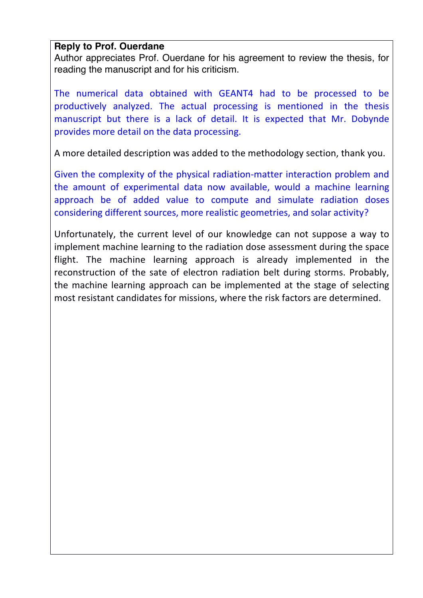# **Reply to Prof. Ouerdane**

Author appreciates Prof. Ouerdane for his agreement to review the thesis, for reading the manuscript and for his criticism.

The numerical data obtained with GEANT4 had to be processed to be productively analyzed. The actual processing is mentioned in the thesis manuscript but there is a lack of detail. It is expected that Mr. Dobynde provides more detail on the data processing.

A more detailed description was added to the methodology section, thank you.

Given the complexity of the physical radiation-matter interaction problem and the amount of experimental data now available, would a machine learning approach be of added value to compute and simulate radiation doses considering different sources, more realistic geometries, and solar activity?

Unfortunately, the current level of our knowledge can not suppose a way to implement machine learning to the radiation dose assessment during the space flight. The machine learning approach is already implemented in the reconstruction of the sate of electron radiation belt during storms. Probably, the machine learning approach can be implemented at the stage of selecting most resistant candidates for missions, where the risk factors are determined.